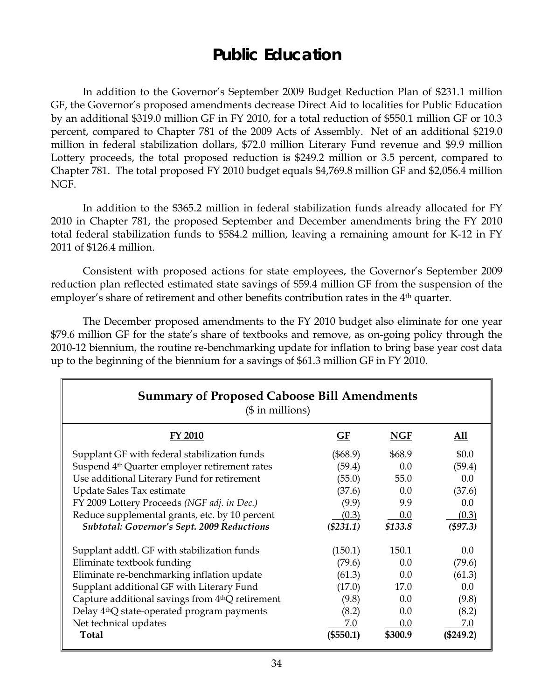## **Public Education**

 In addition to the Governor's September 2009 Budget Reduction Plan of \$231.1 million GF, the Governor's proposed amendments decrease Direct Aid to localities for Public Education by an additional \$319.0 million GF in FY 2010, for a total reduction of \$550.1 million GF or 10.3 percent, compared to Chapter 781 of the 2009 Acts of Assembly. Net of an additional \$219.0 million in federal stabilization dollars, \$72.0 million Literary Fund revenue and \$9.9 million Lottery proceeds, the total proposed reduction is \$249.2 million or 3.5 percent, compared to Chapter 781. The total proposed FY 2010 budget equals \$4,769.8 million GF and \$2,056.4 million NGF.

 In addition to the \$365.2 million in federal stabilization funds already allocated for FY 2010 in Chapter 781, the proposed September and December amendments bring the FY 2010 total federal stabilization funds to \$584.2 million, leaving a remaining amount for K-12 in FY 2011 of \$126.4 million.

 Consistent with proposed actions for state employees, the Governor's September 2009 reduction plan reflected estimated state savings of \$59.4 million GF from the suspension of the employer's share of retirement and other benefits contribution rates in the 4<sup>th</sup> quarter.

The December proposed amendments to the FY 2010 budget also eliminate for one year \$79.6 million GF for the state's share of textbooks and remove, as on-going policy through the 2010-12 biennium, the routine re-benchmarking update for inflation to bring base year cost data up to the beginning of the biennium for a savings of \$61.3 million GF in FY 2010.

| <b>Summary of Proposed Caboose Bill Amendments</b><br>$($$ in millions) |             |            |           |  |  |
|-------------------------------------------------------------------------|-------------|------------|-----------|--|--|
| FY 2010                                                                 | GF          | <b>NGF</b> | All       |  |  |
| Supplant GF with federal stabilization funds                            | $(\$68.9)$  | \$68.9     | \$0.0     |  |  |
| Suspend 4 <sup>th</sup> Quarter employer retirement rates               | (59.4)      | 0.0        | (59.4)    |  |  |
| Use additional Literary Fund for retirement                             | (55.0)      | 55.0       | 0.0       |  |  |
| Update Sales Tax estimate                                               | (37.6)      | 0.0        | (37.6)    |  |  |
| FY 2009 Lottery Proceeds (NGF adj. in Dec.)                             | (9.9)       | 9.9        | 0.0       |  |  |
| Reduce supplemental grants, etc. by 10 percent                          | (0.3)       | 0.0        | (0.3)     |  |  |
| <b>Subtotal: Governor's Sept. 2009 Reductions</b>                       | $(\$231.1)$ | \$133.8    | (\$97.3)  |  |  |
| Supplant addtl. GF with stabilization funds                             | (150.1)     | 150.1      | 0.0       |  |  |
| Eliminate textbook funding                                              | (79.6)      | 0.0        | (79.6)    |  |  |
| Eliminate re-benchmarking inflation update                              | (61.3)      | 0.0        | (61.3)    |  |  |
| Supplant additional GF with Literary Fund                               | (17.0)      | 17.0       | 0.0       |  |  |
| Capture additional savings from 4 <sup>th</sup> Q retirement            | (9.8)       | 0.0        | (9.8)     |  |  |
| Delay 4 <sup>th</sup> Q state-operated program payments                 | (8.2)       | 0.0        | (8.2)     |  |  |
| Net technical updates                                                   | 7.0         | 0.0        | 7.0       |  |  |
| Total                                                                   | $(\$550.1)$ | \$300.9    | (\$249.2) |  |  |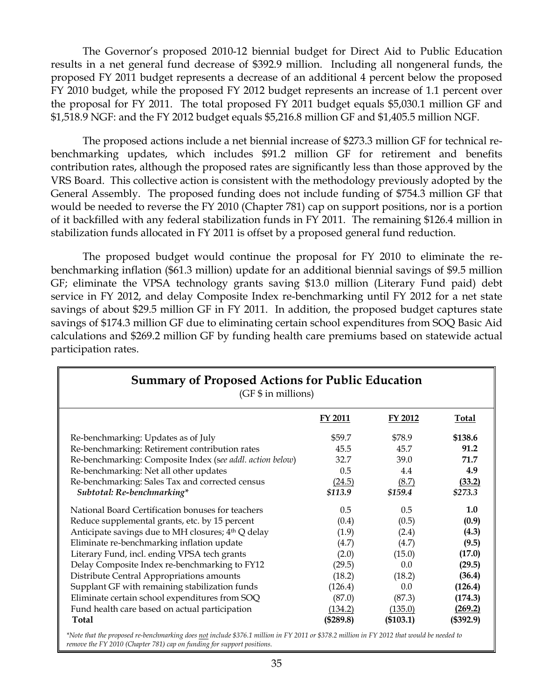The Governor's proposed 2010-12 biennial budget for Direct Aid to Public Education results in a net general fund decrease of \$392.9 million. Including all nongeneral funds, the proposed FY 2011 budget represents a decrease of an additional 4 percent below the proposed FY 2010 budget, while the proposed FY 2012 budget represents an increase of 1.1 percent over the proposal for FY 2011. The total proposed FY 2011 budget equals \$5,030.1 million GF and \$1,518.9 NGF: and the FY 2012 budget equals \$5,216.8 million GF and \$1,405.5 million NGF.

 The proposed actions include a net biennial increase of \$273.3 million GF for technical rebenchmarking updates, which includes \$91.2 million GF for retirement and benefits contribution rates, although the proposed rates are significantly less than those approved by the VRS Board. This collective action is consistent with the methodology previously adopted by the General Assembly. The proposed funding does not include funding of \$754.3 million GF that would be needed to reverse the FY 2010 (Chapter 781) cap on support positions, nor is a portion of it backfilled with any federal stabilization funds in FY 2011. The remaining \$126.4 million in stabilization funds allocated in FY 2011 is offset by a proposed general fund reduction.

 The proposed budget would continue the proposal for FY 2010 to eliminate the rebenchmarking inflation (\$61.3 million) update for an additional biennial savings of \$9.5 million GF; eliminate the VPSA technology grants saving \$13.0 million (Literary Fund paid) debt service in FY 2012, and delay Composite Index re-benchmarking until FY 2012 for a net state savings of about \$29.5 million GF in FY 2011. In addition, the proposed budget captures state savings of \$174.3 million GF due to eliminating certain school expenditures from SOQ Basic Aid calculations and \$269.2 million GF by funding health care premiums based on statewide actual participation rates.

| <b>Summary of Proposed Actions for Public Education</b><br>(GF \$ in millions) |                |           |              |  |  |
|--------------------------------------------------------------------------------|----------------|-----------|--------------|--|--|
|                                                                                | <b>FY 2011</b> | FY 2012   | <b>Total</b> |  |  |
| Re-benchmarking: Updates as of July                                            | \$59.7         | \$78.9    | \$138.6      |  |  |
| Re-benchmarking: Retirement contribution rates                                 | 45.5           | 45.7      | 91.2         |  |  |
| Re-benchmarking: Composite Index (see addl. action below)                      | 32.7           | 39.0      | 71.7         |  |  |
| Re-benchmarking: Net all other updates                                         | 0.5            | 4.4       | 4.9          |  |  |
| Re-benchmarking: Sales Tax and corrected census                                | (24.5)         | (8.7)     | (33.2)       |  |  |
| Subtotal: Re-benchmarking*                                                     | \$113.9        | \$159.4   | \$273.3      |  |  |
| National Board Certification bonuses for teachers                              | 0.5            | 0.5       | 1.0          |  |  |
| Reduce supplemental grants, etc. by 15 percent                                 | (0.4)          | (0.5)     | (0.9)        |  |  |
| Anticipate savings due to MH closures; 4th Q delay                             | (1.9)          | (2.4)     | (4.3)        |  |  |
| Eliminate re-benchmarking inflation update                                     | (4.7)          | (4.7)     | (9.5)        |  |  |
| Literary Fund, incl. ending VPSA tech grants                                   | (2.0)          | (15.0)    | (17.0)       |  |  |
| Delay Composite Index re-benchmarking to FY12                                  | (29.5)         | 0.0       | (29.5)       |  |  |
| Distribute Central Appropriations amounts                                      | (18.2)         | (18.2)    | (36.4)       |  |  |
| Supplant GF with remaining stabilization funds                                 | (126.4)        | 0.0       | (126.4)      |  |  |
| Eliminate certain school expenditures from SOQ                                 | (87.0)         | (87.3)    | (174.3)      |  |  |
| Fund health care based on actual participation                                 | (134.2)        | (135.0)   | (269.2)      |  |  |
| Total                                                                          | (\$289.8)      | (\$103.1) | (\$392.9)    |  |  |

*\*Note that the proposed re-benchmarking does not include \$376.1 million in FY 2011 or \$378.2 million in FY 2012 that would be needed to remove the FY 2010 (Chapter 781) cap on funding for support positions.*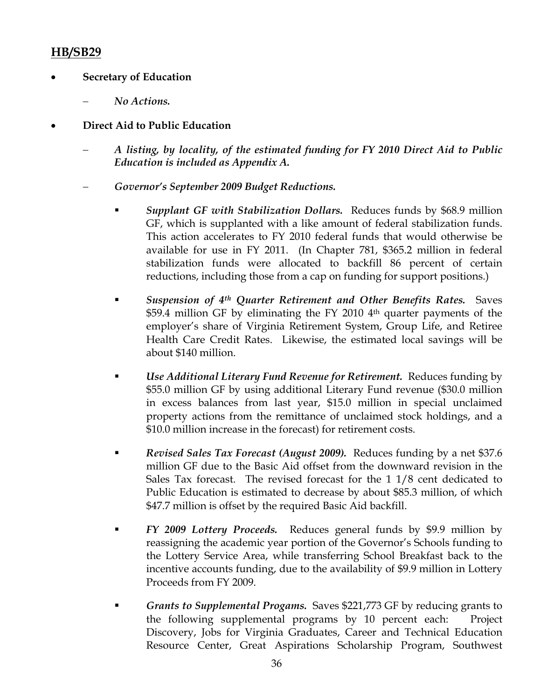## **HB/SB29**

- **Secretary of Education** 
	- − *No Actions.*
- **Direct Aid to Public Education** 
	- − *A listing, by locality, of the estimated funding for FY 2010 Direct Aid to Public Education is included as Appendix A.*
	- − *Governor's September 2009 Budget Reductions.* 
		- *Supplant GF with Stabilization Dollars.* Reduces funds by \$68.9 million GF, which is supplanted with a like amount of federal stabilization funds. This action accelerates to FY 2010 federal funds that would otherwise be available for use in FY 2011. (In Chapter 781, \$365.2 million in federal stabilization funds were allocated to backfill 86 percent of certain reductions, including those from a cap on funding for support positions.)
		- *Suspension of 4th Quarter Retirement and Other Benefits Rates.* Saves \$59.4 million GF by eliminating the FY 2010 4<sup>th</sup> quarter payments of the employer's share of Virginia Retirement System, Group Life, and Retiree Health Care Credit Rates. Likewise, the estimated local savings will be about \$140 million.
		- *Use Additional Literary Fund Revenue for Retirement.* Reduces funding by \$55.0 million GF by using additional Literary Fund revenue (\$30.0 million in excess balances from last year, \$15.0 million in special unclaimed property actions from the remittance of unclaimed stock holdings, and a \$10.0 million increase in the forecast) for retirement costs.
		- *Revised Sales Tax Forecast (August 2009).* Reduces funding by a net \$37.6 million GF due to the Basic Aid offset from the downward revision in the Sales Tax forecast. The revised forecast for the 1 1/8 cent dedicated to Public Education is estimated to decrease by about \$85.3 million, of which \$47.7 million is offset by the required Basic Aid backfill.
		- *FY 2009 Lottery Proceeds.* Reduces general funds by \$9.9 million by reassigning the academic year portion of the Governor's Schools funding to the Lottery Service Area, while transferring School Breakfast back to the incentive accounts funding, due to the availability of \$9.9 million in Lottery Proceeds from FY 2009.
		- *Grants to Supplemental Progams.* Saves \$221,773 GF by reducing grants to the following supplemental programs by 10 percent each: Project Discovery, Jobs for Virginia Graduates, Career and Technical Education Resource Center, Great Aspirations Scholarship Program, Southwest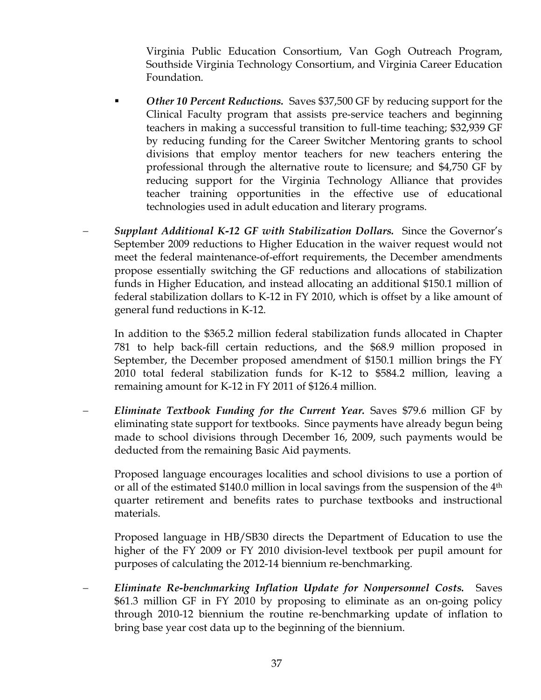Virginia Public Education Consortium, Van Gogh Outreach Program, Southside Virginia Technology Consortium, and Virginia Career Education Foundation.

- *Other 10 Percent Reductions.* Saves \$37,500 GF by reducing support for the Clinical Faculty program that assists pre-service teachers and beginning teachers in making a successful transition to full-time teaching; \$32,939 GF by reducing funding for the Career Switcher Mentoring grants to school divisions that employ mentor teachers for new teachers entering the professional through the alternative route to licensure; and \$4,750 GF by reducing support for the Virginia Technology Alliance that provides teacher training opportunities in the effective use of educational technologies used in adult education and literary programs.
- − *Supplant Additional K-12 GF with Stabilization Dollars.* Since the Governor's September 2009 reductions to Higher Education in the waiver request would not meet the federal maintenance-of-effort requirements, the December amendments propose essentially switching the GF reductions and allocations of stabilization funds in Higher Education, and instead allocating an additional \$150.1 million of federal stabilization dollars to K-12 in FY 2010, which is offset by a like amount of general fund reductions in K-12.

In addition to the \$365.2 million federal stabilization funds allocated in Chapter 781 to help back-fill certain reductions, and the \$68.9 million proposed in September, the December proposed amendment of \$150.1 million brings the FY 2010 total federal stabilization funds for K-12 to \$584.2 million, leaving a remaining amount for K-12 in FY 2011 of \$126.4 million.

− *Eliminate Textbook Funding for the Current Year.* Saves \$79.6 million GF by eliminating state support for textbooks. Since payments have already begun being made to school divisions through December 16, 2009, such payments would be deducted from the remaining Basic Aid payments.

Proposed language encourages localities and school divisions to use a portion of or all of the estimated \$140.0 million in local savings from the suspension of the 4th quarter retirement and benefits rates to purchase textbooks and instructional materials.

Proposed language in HB/SB30 directs the Department of Education to use the higher of the FY 2009 or FY 2010 division-level textbook per pupil amount for purposes of calculating the 2012-14 biennium re-benchmarking.

− *Eliminate Re-benchmarking Inflation Update for Nonpersonnel Costs.* Saves \$61.3 million GF in FY 2010 by proposing to eliminate as an on-going policy through 2010-12 biennium the routine re-benchmarking update of inflation to bring base year cost data up to the beginning of the biennium.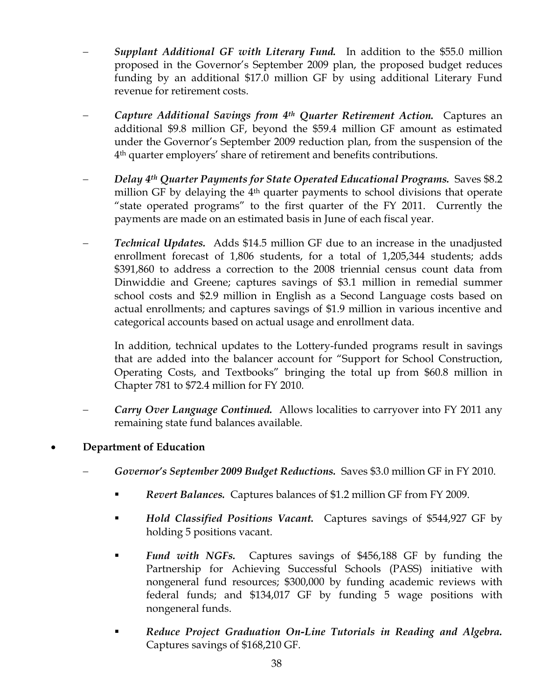- − *Supplant Additional GF with Literary Fund.* In addition to the \$55.0 million proposed in the Governor's September 2009 plan, the proposed budget reduces funding by an additional \$17.0 million GF by using additional Literary Fund revenue for retirement costs.
- − *Capture Additional Savings from 4th Quarter Retirement Action.* Captures an additional \$9.8 million GF, beyond the \$59.4 million GF amount as estimated under the Governor's September 2009 reduction plan, from the suspension of the 4th quarter employers' share of retirement and benefits contributions.
- Delay 4<sup>th</sup> Quarter Payments for State Operated Educational Programs. Saves \$8.2 million GF by delaying the  $4<sup>th</sup>$  quarter payments to school divisions that operate "state operated programs" to the first quarter of the FY 2011. Currently the payments are made on an estimated basis in June of each fiscal year.
- **Technical Updates.** Adds \$14.5 million GF due to an increase in the unadjusted enrollment forecast of 1,806 students, for a total of 1,205,344 students; adds \$391,860 to address a correction to the 2008 triennial census count data from Dinwiddie and Greene; captures savings of \$3.1 million in remedial summer school costs and \$2.9 million in English as a Second Language costs based on actual enrollments; and captures savings of \$1.9 million in various incentive and categorical accounts based on actual usage and enrollment data.

In addition, technical updates to the Lottery-funded programs result in savings that are added into the balancer account for "Support for School Construction, Operating Costs, and Textbooks" bringing the total up from \$60.8 million in Chapter 781 to \$72.4 million for FY 2010.

- *Carry Over Language Continued.* Allows localities to carryover into FY 2011 any remaining state fund balances available.
- **Department of Education** 
	- − *Governor's September 2009 Budget Reductions.* Saves \$3.0 million GF in FY 2010.
		- *Revert Balances.* Captures balances of \$1.2 million GF from FY 2009.
		- *Hold Classified Positions Vacant.* Captures savings of \$544,927 GF by holding 5 positions vacant.
		- *Fund with NGFs.* Captures savings of \$456,188 GF by funding the Partnership for Achieving Successful Schools (PASS) initiative with nongeneral fund resources; \$300,000 by funding academic reviews with federal funds; and \$134,017 GF by funding 5 wage positions with nongeneral funds.
		- *Reduce Project Graduation On-Line Tutorials in Reading and Algebra.* Captures savings of \$168,210 GF.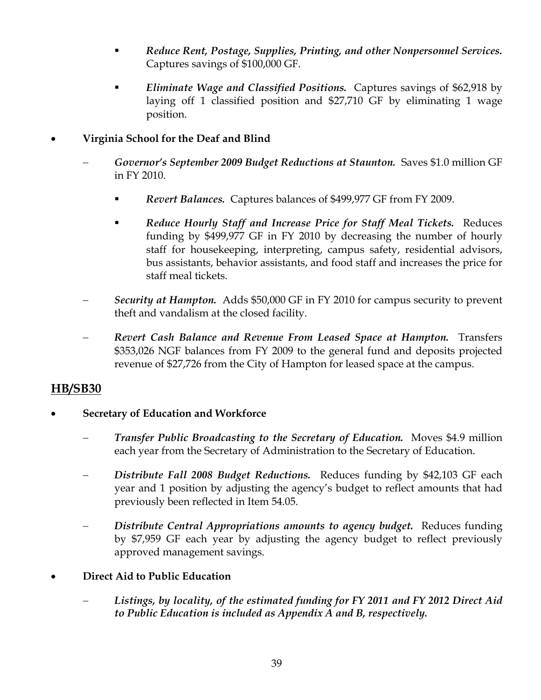- *Reduce Rent, Postage, Supplies, Printing, and other Nonpersonnel Services.* Captures savings of \$100,000 GF.
- *Eliminate Wage and Classified Positions.* Captures savings of \$62,918 by laying off 1 classified position and \$27,710 GF by eliminating 1 wage position.
- **Virginia School for the Deaf and Blind** 
	- − *Governor's September 2009 Budget Reductions at Staunton.* Saves \$1.0 million GF in FY 2010.
		- *Revert Balances.* Captures balances of \$499,977 GF from FY 2009.
		- *Reduce Hourly Staff and Increase Price for Staff Meal Tickets.* Reduces funding by \$499,977 GF in FY 2010 by decreasing the number of hourly staff for housekeeping, interpreting, campus safety, residential advisors, bus assistants, behavior assistants, and food staff and increases the price for staff meal tickets.
	- − *Security at Hampton.* Adds \$50,000 GF in FY 2010 for campus security to prevent theft and vandalism at the closed facility.
	- − *Revert Cash Balance and Revenue From Leased Space at Hampton.* Transfers \$353,026 NGF balances from FY 2009 to the general fund and deposits projected revenue of \$27,726 from the City of Hampton for leased space at the campus.

## **HB/SB30**

- **Secretary of Education and Workforce** 
	- − *Transfer Public Broadcasting to the Secretary of Education.* Moves \$4.9 million each year from the Secretary of Administration to the Secretary of Education.
	- − *Distribute Fall 2008 Budget Reductions.* Reduces funding by \$42,103 GF each year and 1 position by adjusting the agency's budget to reflect amounts that had previously been reflected in Item 54.05.
	- *Distribute Central Appropriations amounts to agency budget.* Reduces funding by \$7,959 GF each year by adjusting the agency budget to reflect previously approved management savings.
- **Direct Aid to Public Education** 
	- − *Listings, by locality, of the estimated funding for FY 2011 and FY 2012 Direct Aid to Public Education is included as Appendix A and B, respectively.*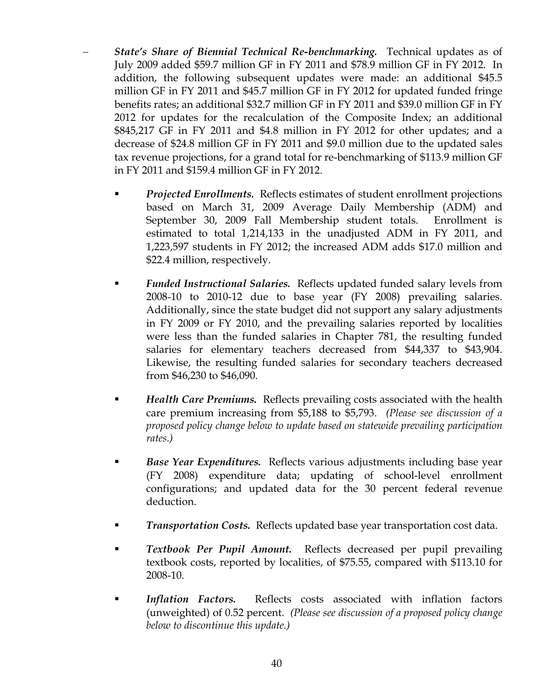- *State's Share of Biennial Technical Re-benchmarking.* Technical updates as of July 2009 added \$59.7 million GF in FY 2011 and \$78.9 million GF in FY 2012. In addition, the following subsequent updates were made: an additional \$45.5 million GF in FY 2011 and \$45.7 million GF in FY 2012 for updated funded fringe benefits rates; an additional \$32.7 million GF in FY 2011 and \$39.0 million GF in FY 2012 for updates for the recalculation of the Composite Index; an additional \$845,217 GF in FY 2011 and \$4.8 million in FY 2012 for other updates; and a decrease of \$24.8 million GF in FY 2011 and \$9.0 million due to the updated sales tax revenue projections, for a grand total for re-benchmarking of \$113.9 million GF in FY 2011 and \$159.4 million GF in FY 2012.
	- *Projected Enrollments.* Reflects estimates of student enrollment projections based on March 31, 2009 Average Daily Membership (ADM) and September 30, 2009 Fall Membership student totals. Enrollment is estimated to total 1,214,133 in the unadjusted ADM in FY 2011, and 1,223,597 students in FY 2012; the increased ADM adds \$17.0 million and \$22.4 million, respectively.
	- *Funded Instructional Salaries.* Reflects updated funded salary levels from 2008-10 to 2010-12 due to base year (FY 2008) prevailing salaries. Additionally, since the state budget did not support any salary adjustments in FY 2009 or FY 2010, and the prevailing salaries reported by localities were less than the funded salaries in Chapter 781, the resulting funded salaries for elementary teachers decreased from \$44,337 to \$43,904. Likewise, the resulting funded salaries for secondary teachers decreased from \$46,230 to \$46,090.
	- *Health Care Premiums.* Reflects prevailing costs associated with the health care premium increasing from \$5,188 to \$5,793. *(Please see discussion of a proposed policy change below to update based on statewide prevailing participation rates.)*
	- *Base Year Expenditures.* Reflects various adjustments including base year (FY 2008) expenditure data; updating of school-level enrollment configurations; and updated data for the 30 percent federal revenue deduction.
	- *Transportation Costs.* Reflects updated base year transportation cost data.
	- *Textbook Per Pupil Amount.* Reflects decreased per pupil prevailing textbook costs, reported by localities, of \$75.55, compared with \$113.10 for 2008-10.
	- *Inflation Factors.* Reflects costs associated with inflation factors (unweighted) of 0.52 percent. *(Please see discussion of a proposed policy change below to discontinue this update.)*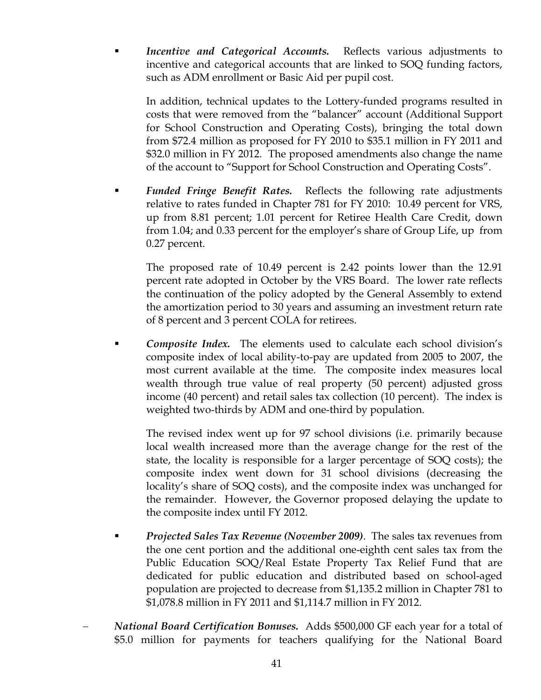*Incentive and Categorical Accounts.* Reflects various adjustments to incentive and categorical accounts that are linked to SOQ funding factors, such as ADM enrollment or Basic Aid per pupil cost.

In addition, technical updates to the Lottery-funded programs resulted in costs that were removed from the "balancer" account (Additional Support for School Construction and Operating Costs), bringing the total down from \$72.4 million as proposed for FY 2010 to \$35.1 million in FY 2011 and \$32.0 million in FY 2012. The proposed amendments also change the name of the account to "Support for School Construction and Operating Costs".

 *Funded Fringe Benefit Rates.* Reflects the following rate adjustments relative to rates funded in Chapter 781 for FY 2010: 10.49 percent for VRS, up from 8.81 percent; 1.01 percent for Retiree Health Care Credit, down from 1.04; and 0.33 percent for the employer's share of Group Life, up from 0.27 percent.

The proposed rate of 10.49 percent is 2.42 points lower than the 12.91 percent rate adopted in October by the VRS Board. The lower rate reflects the continuation of the policy adopted by the General Assembly to extend the amortization period to 30 years and assuming an investment return rate of 8 percent and 3 percent COLA for retirees.

 *Composite Index.* The elements used to calculate each school division's composite index of local ability-to-pay are updated from 2005 to 2007, the most current available at the time. The composite index measures local wealth through true value of real property (50 percent) adjusted gross income (40 percent) and retail sales tax collection (10 percent). The index is weighted two-thirds by ADM and one-third by population.

The revised index went up for 97 school divisions (i.e. primarily because local wealth increased more than the average change for the rest of the state, the locality is responsible for a larger percentage of SOQ costs); the composite index went down for 31 school divisions (decreasing the locality's share of SOQ costs), and the composite index was unchanged for the remainder. However, the Governor proposed delaying the update to the composite index until FY 2012.

- *Projected Sales Tax Revenue (November 2009)*. The sales tax revenues from the one cent portion and the additional one-eighth cent sales tax from the Public Education SOQ/Real Estate Property Tax Relief Fund that are dedicated for public education and distributed based on school-aged population are projected to decrease from \$1,135.2 million in Chapter 781 to \$1,078.8 million in FY 2011 and \$1,114.7 million in FY 2012.
- − *National Board Certification Bonuses.* Adds \$500,000 GF each year for a total of \$5.0 million for payments for teachers qualifying for the National Board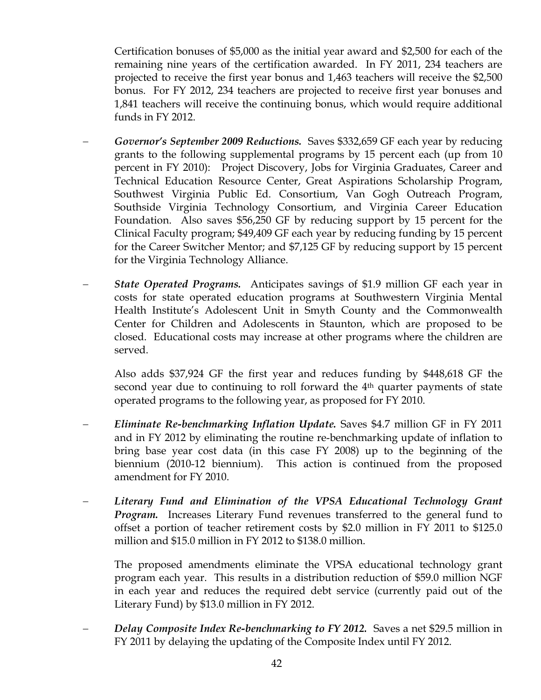Certification bonuses of \$5,000 as the initial year award and \$2,500 for each of the remaining nine years of the certification awarded. In FY 2011, 234 teachers are projected to receive the first year bonus and 1,463 teachers will receive the \$2,500 bonus. For FY 2012, 234 teachers are projected to receive first year bonuses and 1,841 teachers will receive the continuing bonus, which would require additional funds in FY 2012.

- − *Governor's September 2009 Reductions.* Saves \$332,659 GF each year by reducing grants to the following supplemental programs by 15 percent each (up from 10 percent in FY 2010): Project Discovery, Jobs for Virginia Graduates, Career and Technical Education Resource Center, Great Aspirations Scholarship Program, Southwest Virginia Public Ed. Consortium, Van Gogh Outreach Program, Southside Virginia Technology Consortium, and Virginia Career Education Foundation. Also saves \$56,250 GF by reducing support by 15 percent for the Clinical Faculty program; \$49,409 GF each year by reducing funding by 15 percent for the Career Switcher Mentor; and \$7,125 GF by reducing support by 15 percent for the Virginia Technology Alliance.
- − *State Operated Programs.* Anticipates savings of \$1.9 million GF each year in costs for state operated education programs at Southwestern Virginia Mental Health Institute's Adolescent Unit in Smyth County and the Commonwealth Center for Children and Adolescents in Staunton, which are proposed to be closed. Educational costs may increase at other programs where the children are served.

Also adds \$37,924 GF the first year and reduces funding by \$448,618 GF the second year due to continuing to roll forward the 4<sup>th</sup> quarter payments of state operated programs to the following year, as proposed for FY 2010.

- − *Eliminate Re-benchmarking Inflation Update.* Saves \$4.7 million GF in FY 2011 and in FY 2012 by eliminating the routine re-benchmarking update of inflation to bring base year cost data (in this case FY 2008) up to the beginning of the biennium (2010-12 biennium). This action is continued from the proposed amendment for FY 2010.
- − *Literary Fund and Elimination of the VPSA Educational Technology Grant Program.* Increases Literary Fund revenues transferred to the general fund to offset a portion of teacher retirement costs by \$2.0 million in FY 2011 to \$125.0 million and \$15.0 million in FY 2012 to \$138.0 million.

The proposed amendments eliminate the VPSA educational technology grant program each year. This results in a distribution reduction of \$59.0 million NGF in each year and reduces the required debt service (currently paid out of the Literary Fund) by \$13.0 million in FY 2012.

− *Delay Composite Index Re-benchmarking to FY 2012.* Saves a net \$29.5 million in FY 2011 by delaying the updating of the Composite Index until FY 2012.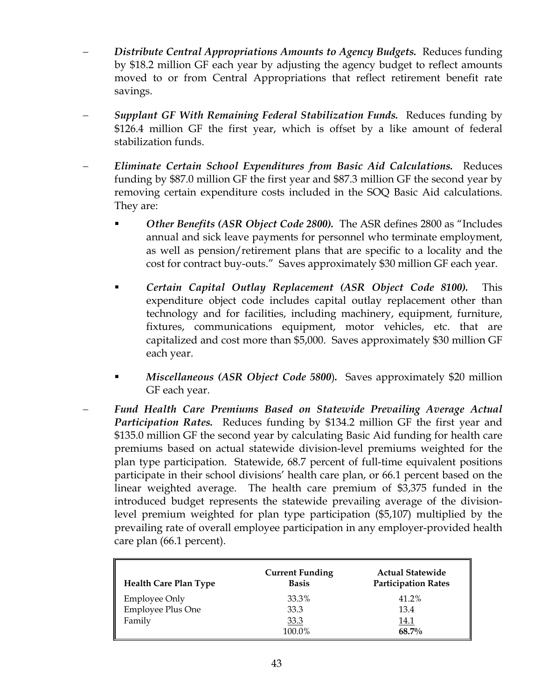- − *Distribute Central Appropriations Amounts to Agency Budgets.* Reduces funding by \$18.2 million GF each year by adjusting the agency budget to reflect amounts moved to or from Central Appropriations that reflect retirement benefit rate savings.
- − *Supplant GF With Remaining Federal Stabilization Funds.* Reduces funding by \$126.4 million GF the first year, which is offset by a like amount of federal stabilization funds.
- − *Eliminate Certain School Expenditures from Basic Aid Calculations.* Reduces funding by \$87.0 million GF the first year and \$87.3 million GF the second year by removing certain expenditure costs included in the SOQ Basic Aid calculations. They are:
	- *Other Benefits (ASR Object Code 2800).* The ASR defines 2800 as "Includes annual and sick leave payments for personnel who terminate employment, as well as pension/retirement plans that are specific to a locality and the cost for contract buy-outs." Saves approximately \$30 million GF each year.
	- *Certain Capital Outlay Replacement (ASR Object Code 8100).* This expenditure object code includes capital outlay replacement other than technology and for facilities, including machinery, equipment, furniture, fixtures, communications equipment, motor vehicles, etc. that are capitalized and cost more than \$5,000. Saves approximately \$30 million GF each year.
	- *Miscellaneous (ASR Object Code 5800*)*.* Saves approximately \$20 million GF each year.
- − *Fund Health Care Premiums Based on Statewide Prevailing Average Actual Participation Rates.* Reduces funding by \$134.2 million GF the first year and \$135.0 million GF the second year by calculating Basic Aid funding for health care premiums based on actual statewide division-level premiums weighted for the plan type participation. Statewide, 68.7 percent of full-time equivalent positions participate in their school divisions' health care plan, or 66.1 percent based on the linear weighted average. The health care premium of \$3,375 funded in the introduced budget represents the statewide prevailing average of the divisionlevel premium weighted for plan type participation (\$5,107) multiplied by the prevailing rate of overall employee participation in any employer-provided health care plan (66.1 percent).

| <b>Health Care Plan Type</b> | <b>Current Funding</b><br><b>Basis</b> | <b>Actual Statewide</b><br><b>Participation Rates</b> |
|------------------------------|----------------------------------------|-------------------------------------------------------|
| <b>Employee Only</b>         | 33.3%                                  | 41.2%                                                 |
| <b>Employee Plus One</b>     | 33.3                                   | 13.4                                                  |
| Family                       | 33.3                                   | <u>14.1</u>                                           |
|                              | 100.0%                                 | 68.7%                                                 |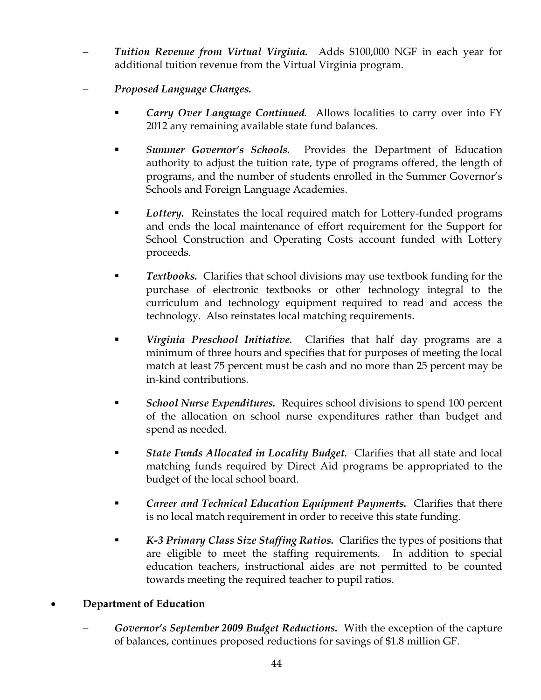- − *Tuition Revenue from Virtual Virginia.* Adds \$100,000 NGF in each year for additional tuition revenue from the Virtual Virginia program.
- − *Proposed Language Changes.* 
	- *Carry Over Language Continued.* Allows localities to carry over into FY 2012 any remaining available state fund balances.
	- *Summer Governor's Schools.* Provides the Department of Education authority to adjust the tuition rate, type of programs offered, the length of programs, and the number of students enrolled in the Summer Governor's Schools and Foreign Language Academies.
	- *Lottery.* Reinstates the local required match for Lottery-funded programs and ends the local maintenance of effort requirement for the Support for School Construction and Operating Costs account funded with Lottery proceeds.
	- **Textbooks.** Clarifies that school divisions may use textbook funding for the purchase of electronic textbooks or other technology integral to the curriculum and technology equipment required to read and access the technology. Also reinstates local matching requirements.
	- *Virginia Preschool Initiative.* Clarifies that half day programs are a minimum of three hours and specifies that for purposes of meeting the local match at least 75 percent must be cash and no more than 25 percent may be in-kind contributions.
	- *School Nurse Expenditures.* Requires school divisions to spend 100 percent of the allocation on school nurse expenditures rather than budget and spend as needed.
	- *State Funds Allocated in Locality Budget.* Clarifies that all state and local matching funds required by Direct Aid programs be appropriated to the budget of the local school board.
	- *Career and Technical Education Equipment Payments.* Clarifies that there is no local match requirement in order to receive this state funding.
	- *K-3 Primary Class Size Staffing Ratios.* Clarifies the types of positions that are eligible to meet the staffing requirements. In addition to special education teachers, instructional aides are not permitted to be counted towards meeting the required teacher to pupil ratios.

## • **Department of Education**

− *Governor's September 2009 Budget Reductions.* With the exception of the capture of balances, continues proposed reductions for savings of \$1.8 million GF.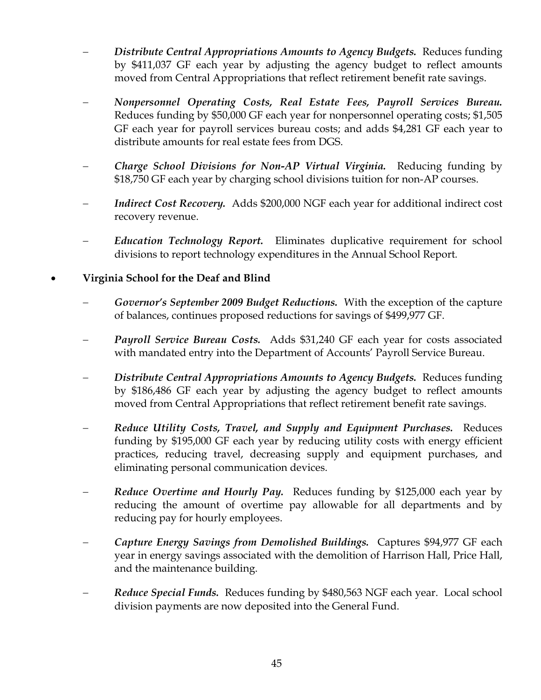- − *Distribute Central Appropriations Amounts to Agency Budgets.* Reduces funding by \$411,037 GF each year by adjusting the agency budget to reflect amounts moved from Central Appropriations that reflect retirement benefit rate savings.
- − *Nonpersonnel Operating Costs, Real Estate Fees, Payroll Services Bureau.*  Reduces funding by \$50,000 GF each year for nonpersonnel operating costs; \$1,505 GF each year for payroll services bureau costs; and adds \$4,281 GF each year to distribute amounts for real estate fees from DGS.
- − *Charge School Divisions for Non-AP Virtual Virginia.* Reducing funding by \$18,750 GF each year by charging school divisions tuition for non-AP courses.
- *Indirect Cost Recovery.* Adds \$200,000 NGF each year for additional indirect cost recovery revenue.
- − *Education Technology Report.* Eliminates duplicative requirement for school divisions to report technology expenditures in the Annual School Report*.*
- **Virginia School for the Deaf and Blind** 
	- − *Governor's September 2009 Budget Reductions.* With the exception of the capture of balances, continues proposed reductions for savings of \$499,977 GF.
	- − *Payroll Service Bureau Costs.* Adds \$31,240 GF each year for costs associated with mandated entry into the Department of Accounts' Payroll Service Bureau.
	- − *Distribute Central Appropriations Amounts to Agency Budgets.* Reduces funding by \$186,486 GF each year by adjusting the agency budget to reflect amounts moved from Central Appropriations that reflect retirement benefit rate savings.
	- − *Reduce Utility Costs, Travel, and Supply and Equipment Purchases.* Reduces funding by \$195,000 GF each year by reducing utility costs with energy efficient practices, reducing travel, decreasing supply and equipment purchases, and eliminating personal communication devices.
	- *Reduce Overtime and Hourly Pay.* Reduces funding by \$125,000 each year by reducing the amount of overtime pay allowable for all departments and by reducing pay for hourly employees.
	- − *Capture Energy Savings from Demolished Buildings.* Captures \$94,977 GF each year in energy savings associated with the demolition of Harrison Hall, Price Hall, and the maintenance building.
	- − *Reduce Special Funds.* Reduces funding by \$480,563 NGF each year. Local school division payments are now deposited into the General Fund.